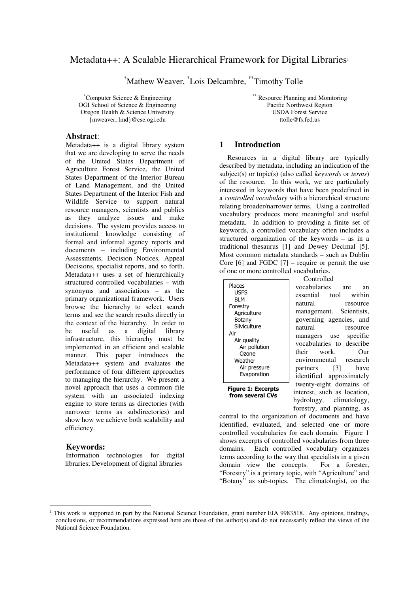# Metadata++: A Scalable Hierarchical Framework for Digital Libraries 1

\*Mathew Weaver, \* Lois Delcambre, \*\* Timothy Tolle

\*Computer Science & Engineering OGI School of Science & Engineering Oregon Health & Science University {mweaver, lmd}@cse.ogi.edu

## **Abstract**:

Metadata++ is a digital library system that we are developing to serve the needs of the United States Department of Agriculture Forest Service, the United States Department of the Interior Bureau of Land Management, and the United States Department of the Interior Fish and Wildlife Service to support natural resource managers, scientists and publics as they analyze issues and make decisions. The system provides access to institutional knowledge consisting of formal and informal agency reports and documents – including Environmental Assessments, Decision Notices, Appeal Decisions, specialist reports, and so forth. Metadata++ uses a set of hierarchically structured controlled vocabularies – with synonyms and associations – as the primary organizational framework. Users browse the hierarchy to select search terms and see the search results directly in the context of the hierarchy. In order to be useful as a digital library infrastructure, this hierarchy must be implemented in an efficient and scalable manner. This paper introduces the Metadata++ system and evaluates the performance of four different approaches to managing the hierarchy. We present a novel approach that uses a common file system with an associated indexing engine to store terms as directories (with narrower terms as subdirectories) and show how we achieve both scalability and efficiency.

### **Keywords:**

Information technologies for digital libraries; Development of digital libraries

\*\* Resource Planning and Monitoring Pacific Northwest Region USDA Forest Service ttolle@fs.fed.us

## **1 Introduction**

Resources in a digital library are typically described by metadata, including an indication of the subject(s) or topic(s) (also called *keywords* or *terms*) of the resource. In this work, we are particularly interested in keywords that have been predefined in a *controlled vocabulary* with a hierarchical structure relating broader/narrower terms. Using a controlled vocabulary produces more meaningful and useful metadata. In addition to providing a finite set of keywords, a controlled vocabulary often includes a structured organization of the keywords – as in a traditional thesaurus [1] and Dewey Decimal [5]. Most common metadata standards – such as Dublin Core  $[6]$  and FGDC  $[7]$  – require or permit the use of one or more controlled vocabularies.

| Places                 |  |
|------------------------|--|
| USFS                   |  |
| BI M                   |  |
| Forestry               |  |
| Agriculture            |  |
| Botany<br>Silviculture |  |
| Air                    |  |
| Air guality            |  |
| Air pollution          |  |
| Ozone                  |  |
| Weather                |  |
| Air pressure           |  |
| Evaporation            |  |
|                        |  |

**Figure 1: Excerpts** from several CVs

Controlled vocabularies are an essential tool within natural resource management. Scientists, governing agencies, and natural resource managers use specific vocabularies to describe their work. Our environmental research partners [3] have identified approximately twenty-eight domains of interest, such as location, hydrology, climatology, forestry, and planning, as

central to the organization of documents and have identified, evaluated, and selected one or more controlled vocabularies for each domain. Figure 1 shows excerpts of controlled vocabularies from three domains. Each controlled vocabulary organizes terms according to the way that specialists in a given domain view the concepts. For a forester, "Forestry" is a primary topic, with "Agriculture" and "Botany" as sub-topics. The climatologist, on the

<sup>&</sup>lt;sup>1</sup> This work is supported in part by the National Science Foundation, grant number EIA 9983518. Any opinions, findings, conclusions, or recommendations expressed here are those of the author(s) and do not necessarily reflect the views of the National Science Foundation.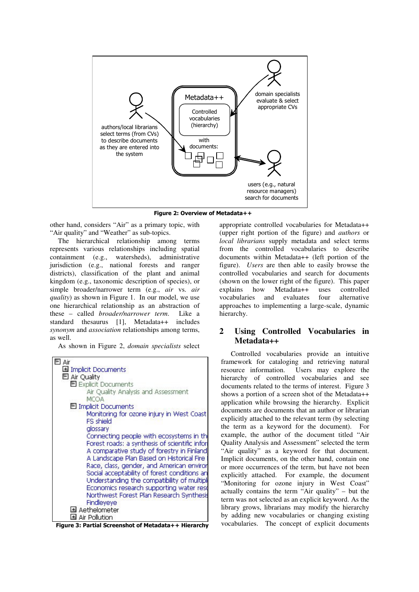

Figure 2: Overview of Metadata++

other hand, considers "Air" as a primary topic, with "Air quality" and "Weather" as sub-topics.

The hierarchical relationship among terms represents various relationships including spatial containment (e.g., watersheds), administrative jurisdiction (e.g., national forests and ranger districts), classification of the plant and animal kingdom (e.g., taxonomic description of species), or simple broader/narrower term (e.g., *air* vs. *air quality*) as shown in Figure 1. In our model, we use one hierarchical relationship as an abstraction of these – called *broader/narrower term*. Like a standard thesaurus [1], Metadata++ includes *synonym* and *association* relationships among terms, as well.

As shown in Figure 2, *domain specialists* select

| $\Box$ Air                                                                                |
|-------------------------------------------------------------------------------------------|
| Implicit Documents                                                                        |
| E Air Quality                                                                             |
| E Explicit Documents                                                                      |
| Air Quality Analysis and Assessment                                                       |
| <b>MCOA</b>                                                                               |
| El Implicit Documents                                                                     |
| Monitoring for ozone injury in West Coast                                                 |
| FS shield                                                                                 |
| alossary                                                                                  |
| Connecting people with ecosystems in thi                                                  |
| Forest roads: a synthesis of scientific infor                                             |
| A comparative study of forestry in Finland                                                |
| A Landscape Plan Based on Historical Fire                                                 |
| Race, class, gender, and American enviror<br>Social acceptability of forest conditions an |
| Understanding the compatibility of multipli                                               |
| Economics research supporting water reso                                                  |
| Northwest Forest Plan Research Synthesis                                                  |
| Findleyeye                                                                                |
| Aethelometer                                                                              |
| Air Pollution                                                                             |

Figure 3: Partial Screenshot of Metadata++ Hierarchy

appropriate controlled vocabularies for Metadata++ (upper right portion of the figure) and *authors* or *local librarians* supply metadata and select terms from the controlled vocabularies to describe documents within Metadata++ (left portion of the figure). *Users* are then able to easily browse the controlled vocabularies and search for documents (shown on the lower right of the figure). This paper<br>explains how Metadata++ uses controlled explains how Metadata++ uses controlled vocabularies and evaluates four alternative approaches to implementing a large-scale, dynamic hierarchy.

## **2 Using Controlled Vocabularies in Metadata++**

Controlled vocabularies provide an intuitive framework for cataloging and retrieving natural resource information. Users may explore the hierarchy of controlled vocabularies and see documents related to the terms of interest. Figure 3 shows a portion of a screen shot of the Metadata++ application while browsing the hierarchy. Explicit documents are documents that an author or librarian explicitly attached to the relevant term (by selecting the term as a keyword for the document). For example, the author of the document titled "Air Quality Analysis and Assessment" selected the term "Air quality" as a keyword for that document. Implicit documents, on the other hand, contain one or more occurrences of the term, but have not been explicitly attached. For example, the document "Monitoring for ozone injury in West Coast" actually contains the term "Air quality" – but the term was not selected as an explicit keyword. As the library grows, librarians may modify the hierarchy by adding new vocabularies or changing existing vocabularies. The concept of explicit documents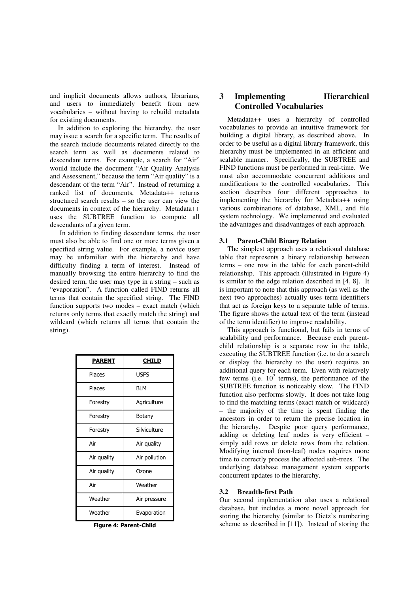and implicit documents allows authors, librarians, and users to immediately benefit from new vocabularies – without having to rebuild metadata for existing documents.

In addition to exploring the hierarchy, the user may issue a search for a specific term. The results of the search include documents related directly to the search term as well as documents related to descendant terms. For example, a search for "Air" would include the document "Air Quality Analysis and Assessment," because the term "Air quality" is a descendant of the term "Air". Instead of returning a ranked list of documents, Metadata++ returns structured search results – so the user can view the documents in context of the hierarchy. Metadata++ uses the SUBTREE function to compute all descendants of a given term.

In addition to finding descendant terms, the user must also be able to find one or more terms given a specified string value. For example, a novice user may be unfamiliar with the hierarchy and have difficulty finding a term of interest. Instead of manually browsing the entire hierarchy to find the desired term, the user may type in a string – such as "evaporation". A function called FIND returns all terms that contain the specified string. The FIND function supports two modes – exact match (which returns only terms that exactly match the string) and wildcard (which returns all terms that contain the string).

| <b>PARENT</b> | CHILD         |
|---------------|---------------|
| Places        | USFS          |
| Places        | BLM           |
| Forestry      | Agriculture   |
| Forestry      | Botany        |
| Forestry      | Silviculture  |
| Air           | Air quality   |
| Air quality   | Air pollution |
| Air quality   | Ozone         |
| Air           | Weather       |
| Weather       | Air pressure  |
| Weather       | Evaporation   |

Figure 4: Parent-Child

## **3 Implementing Hierarchical Controlled Vocabularies**

Metadata++ uses a hierarchy of controlled vocabularies to provide an intuitive framework for building a digital library, as described above. In order to be useful as a digital library framework, this hierarchy must be implemented in an efficient and scalable manner. Specifically, the SUBTREE and FIND functions must be performed in real-time. We must also accommodate concurrent additions and modifications to the controlled vocabularies. This section describes four different approaches to implementing the hierarchy for Metadata++ using various combinations of database, XML, and file system technology. We implemented and evaluated the advantages and disadvantages of each approach.

#### **3.1 Parent-Child Binary Relation**

The simplest approach uses a relational database table that represents a binary relationship between terms – one row in the table for each parent-child relationship. This approach (illustrated in Figure 4) is similar to the edge relation described in [4, 8]. It is important to note that this approach (as well as the next two approaches) actually uses term identifiers that act as foreign keys to a separate table of terms. The figure shows the actual text of the term (instead of the term identifier) to improve readability.

This approach is functional, but fails in terms of scalability and performance. Because each parentchild relationship is a separate row in the table, executing the SUBTREE function (i.e. to do a search or display the hierarchy to the user) requires an additional query for each term. Even with relatively few terms (i.e.  $10^2$  terms), the performance of the SUBTREE function is noticeably slow. The FIND function also performs slowly. It does not take long to find the matching terms (exact match or wildcard) – the majority of the time is spent finding the ancestors in order to return the precise location in the hierarchy. Despite poor query performance, adding or deleting leaf nodes is very efficient – simply add rows or delete rows from the relation. Modifying internal (non-leaf) nodes requires more time to correctly process the affected sub-trees. The underlying database management system supports concurrent updates to the hierarchy.

### **3.2 Breadth-first Path**

Our second implementation also uses a relational database, but includes a more novel approach for storing the hierarchy (similar to Dietz's numbering scheme as described in [11]). Instead of storing the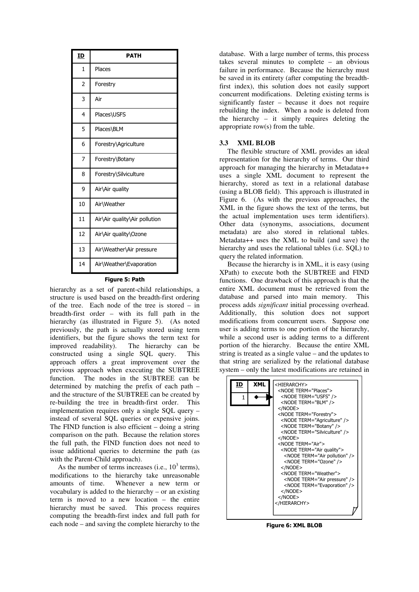| <u>ID</u>      | <b>PATH</b>                   |  |  |  |  |
|----------------|-------------------------------|--|--|--|--|
| $\mathbf{1}$   | Places                        |  |  |  |  |
| $\overline{2}$ | Forestry                      |  |  |  |  |
| 3              | Air                           |  |  |  |  |
| 4              | Places\USFS                   |  |  |  |  |
| 5              | Places\BLM                    |  |  |  |  |
| 6              | Forestry\Agriculture          |  |  |  |  |
| 7              | Forestry\Botany               |  |  |  |  |
| 8              | Forestry\Silviculture         |  |  |  |  |
| 9              | Air\Air quality               |  |  |  |  |
| 10             | Air\Weather                   |  |  |  |  |
| 11             | Air\Air quality\Air pollution |  |  |  |  |
| 12             | Air\Air quality\Ozone         |  |  |  |  |
| 13             | Air\Weather\Air pressure      |  |  |  |  |
| 14             | Air\Weather\Evaporation       |  |  |  |  |

#### Figure 5: Path

hierarchy as a set of parent-child relationships, a structure is used based on the breadth-first ordering of the tree. Each node of the tree is stored – in breadth-first order – with its full path in the hierarchy (as illustrated in Figure 5). (As noted previously, the path is actually stored using term identifiers, but the figure shows the term text for improved readability). The hierarchy can be constructed using a single SQL query. This approach offers a great improvement over the previous approach when executing the SUBTREE function. The nodes in the SUBTREE can be determined by matching the prefix of each path – and the structure of the SUBTREE can be created by re-building the tree in breadth-first order. This implementation requires only a single SQL query – instead of several SQL queries or expensive joins. The FIND function is also efficient – doing a string comparison on the path. Because the relation stores the full path, the FIND function does not need to issue additional queries to determine the path (as with the Parent-Child approach).

As the number of terms increases (i.e.,  $10^3$  terms), modifications to the hierarchy take unreasonable amounts of time. Whenever a new term or vocabulary is added to the hierarchy – or an existing term is moved to a new location – the entire hierarchy must be saved. This process requires computing the breadth-first index and full path for each node – and saving the complete hierarchy to the

database. With a large number of terms, this process takes several minutes to complete – an obvious failure in performance. Because the hierarchy must be saved in its entirety (after computing the breadthfirst index), this solution does not easily support concurrent modifications. Deleting existing terms is significantly faster – because it does not require rebuilding the index. When a node is deleted from the hierarchy – it simply requires deleting the appropriate row(s) from the table.

### **3.3 XML BLOB**

The flexible structure of XML provides an ideal representation for the hierarchy of terms. Our third approach for managing the hierarchy in Metadata++ uses a single XML document to represent the hierarchy, stored as text in a relational database (using a BLOB field). This approach is illustrated in Figure 6. (As with the previous approaches, the XML in the figure shows the text of the terms, but the actual implementation uses term identifiers). Other data (synonyms, associations, document metadata) are also stored in relational tables. Metadata++ uses the XML to build (and save) the hierarchy and uses the relational tables (i.e. SQL) to query the related information.

Because the hierarchy is in XML, it is easy (using XPath) to execute both the SUBTREE and FIND functions. One drawback of this approach is that the entire XML document must be retrieved from the database and parsed into main memory. This database and parsed into main memory. process adds *significant* initial processing overhead. Additionally, this solution does not support modifications from concurrent users. Suppose one user is adding terms to one portion of the hierarchy, while a second user is adding terms to a different portion of the hierarchy. Because the entire XML string is treated as a single value – and the updates to that string are serialized by the relational database system – only the latest modifications are retained in



Figure 6: XML BLOB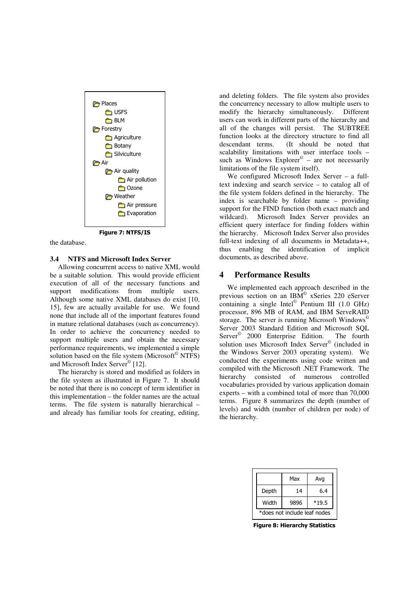

the database.

### **3.4 NTFS and Microsoft Index Server**

Allowing concurrent access to native XML would be a suitable solution. This would provide efficient execution of all of the necessary functions and support modifications from multiple users. Although some native XML databases do exist [10, 15], few are actually available for use. We found none that include all of the important features found in mature relational databases (such as concurrency). In order to achieve the concurrency needed to support multiple users and obtain the necessary performance requirements, we implemented a simple solution based on the file system (Microsoft © NTFS) and Microsoft Index Server<sup>©</sup> [12].

The hierarchy is stored and modified as folders in the file system as illustrated in Figure 7. It should be noted that there is no concept of term identifier in this implementation – the folder names are the actual terms. The file system is naturally hierarchical – and already has familiar tools for creating, editing,

and deleting folders. The file system also provides the concurrency necessary to allow multiple users to modify the hierarchy simultaneously. Different users can work in different parts of the hierarchy and all of the changes will persist. The SUBTREE function looks at the directory structure to find all descendant terms. (It should be noted that scalability limitations with user interface tools – such as Windows Explorer<sup>©</sup> – are not necessarily limitations of the file system itself).

We configured Microsoft Index Server – a fulltext indexing and search service – to catalog all of the file system folders defined in the hierarchy. The index is searchable by folder name – providing support for the FIND function (both exact match and wildcard). Microsoft Index Server provides an efficient query interface for finding folders within the hierarchy. Microsoft Index Server also provides full-text indexing of all documents in Metadata++, thus enabling the identification of implicit documents, as described above.

## **4 Performance Results**

We implemented each approach described in the previous section on an IBM © xSeries 220 eServer containing a single Intel © Pentium III (1.0 GHz) processor, 896 MB of RAM, and IBM ServeRAID storage. The server is running Microsoft Windows<sup>©</sup> Server 2003 Standard Edition and Microsoft SQL Server<sup>©</sup> 2000 Enterprise Edition. The fourth solution uses Microsoft Index Server © (included in the Windows Server 2003 operating system). We conducted the experiments using code written and compiled with the Microsoft .NET Framework. The hierarchy consisted of numerous controlled vocabularies provided by various application domain experts – with a combined total of more than 70,000 terms. Figure 8 summarizes the depth (number of levels) and width (number of children per node) of the hierarchy.

|                              | Max  | Avg     |  |  |
|------------------------------|------|---------|--|--|
| Depth                        | 14   | 6.4     |  |  |
| Width                        | 9896 | $*19.5$ |  |  |
| *does not include leaf nodes |      |         |  |  |

Figure 8: Hierarchy Statistics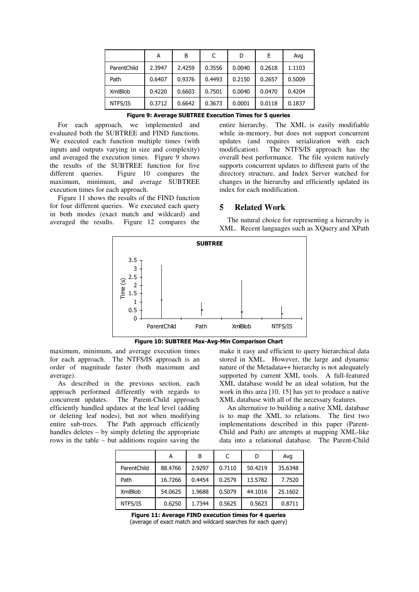|                | А      | B      | C      | D      | F      | Avq    |
|----------------|--------|--------|--------|--------|--------|--------|
| ParentChild    | 2.3947 | 2.4259 | 0.3556 | 0.0040 | 0.2618 | 1.1103 |
| Path           | 0.6407 | 0.9376 | 0.4493 | 0.2150 | 0.2657 | 0.5009 |
| <b>XmlBlob</b> | 0.4220 | 0.6603 | 0.7501 | 0.0040 | 0.0470 | 0.4204 |
| NTFS/IS        | 0.3712 | 0.6642 | 0.3673 | 0.0001 | 0.0118 | 0.1837 |

For each approach, we implemented and evaluated both the SUBTREE and FIND functions. We executed each function multiple times (with inputs and outputs varying in size and complexity) and averaged the execution times. Figure 9 shows the results of the SUBTREE function for five different queries. Figure 10 compares the maximum, minimum, and average SUBTREE execution times for each approach.

Figure 11 shows the results of the FIND function for four different queries. We executed each query in both modes (exact match and wildcard) and averaged the results. Figure 12 compares the entire hierarchy. The XML is easily modifiable while in-memory, but does not support concurrent updates (and requires serialization with each modification). The NTFS/IS approach has the overall best performance. The file system natively supports concurrent updates to different parts of the directory structure, and Index Server watched for changes in the hierarchy and efficiently updated its index for each modification.

### **5 Related Work**

The natural choice for representing a hierarchy is XML. Recent languages such as XQuery and XPath



Figure 10: SUBTREE Max-Avg-Min Comparison Chart

maximum, minimum, and average execution times for each approach. The NTFS/IS approach is an order of magnitude faster (both maximum and average).

As described in the previous section, each approach performed differently with regards to concurrent updates. The Parent-Child approach efficiently handled updates at the leaf level (adding or deleting leaf nodes), but not when modifying entire sub-trees. The Path approach efficiently handles deletes – by simply deleting the appropriate rows in the table – but additions require saving the make it easy and efficient to query hierarchical data stored in XML. However, the large and dynamic nature of the Metadata++ hierarchy is not adequately supported by current XML tools. A full-featured XML database would be an ideal solution, but the work in this area [10, 15] has yet to produce a native XML database with all of the necessary features.

An alternative to building a native XML database is to map the XML to relations. The first two implementations described in this paper (Parent-Child and Path) are attempts at mapping XML-like data into a relational database. The Parent-Child

|                | А       | B      |        | D       | Avg     |
|----------------|---------|--------|--------|---------|---------|
| ParentChild    | 88.4766 | 2.9297 | 0.7110 | 50.4219 | 35.6348 |
| Path           | 16.7266 | 0.4454 | 0.2579 | 13.5782 | 7.7520  |
| <b>XmlBlob</b> | 54.0625 | 1.9688 | 0.5079 | 44.1016 | 25.1602 |
| NTFS/IS        | 0.6250  | 1.7344 | 0.5625 | 0.5623  | 0.8711  |

Figure 11: Average FIND execution times for 4 queries (average of exact match and wildcard searches for each query)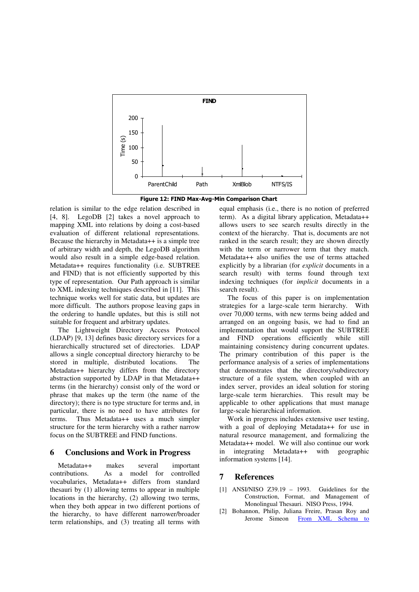

Figure 12: FIND Max-Avg-Min Comparison Chart

relation is similar to the edge relation described in [4, 8]. LegoDB [2] takes a novel approach to mapping XML into relations by doing a cost-based evaluation of different relational representations. Because the hierarchy in Metadata++ is a simple tree of arbitrary width and depth, the LegoDB algorithm would also result in a simple edge-based relation. Metadata++ requires functionality (i.e. SUBTREE and FIND) that is not efficiently supported by this type of representation. Our Path approach is similar to XML indexing techniques described in [11]. This technique works well for static data, but updates are more difficult. The authors propose leaving gaps in the ordering to handle updates, but this is still not suitable for frequent and arbitrary updates.

The Lightweight Directory Access Protocol (LDAP) [9, 13] defines basic directory services for a hierarchically structured set of directories. LDAP allows a single conceptual directory hierarchy to be stored in multiple, distributed locations. The Metadata++ hierarchy differs from the directory abstraction supported by LDAP in that Metadata++ terms (in the hierarchy) consist only of the word or phrase that makes up the term (the name of the directory); there is no type structure for terms and, in particular, there is no need to have attributes for terms. Thus Metadata++ uses a much simpler structure for the term hierarchy with a rather narrow focus on the SUBTREE and FIND functions.

### **6 Conclusions and Work in Progress**

Metadata++ makes several important contributions. As a model for controlled vocabularies, Metadata++ differs from standard thesauri by (1) allowing terms to appear in multiple locations in the hierarchy, (2) allowing two terms, when they both appear in two different portions of the hierarchy, to have different narrower/broader term relationships, and (3) treating all terms with

equal emphasis (i.e., there is no notion of preferred term). As a digital library application, Metadata++ allows users to see search results directly in the context of the hierarchy. That is, documents are not ranked in the search result; they are shown directly with the term or narrower term that they match. Metadata++ also unifies the use of terms attached explicitly by a librarian (for *explicit* documents in a search result) with terms found through text indexing techniques (for *implicit* documents in a search result).

The focus of this paper is on implementation strategies for a large-scale term hierarchy. With over 70,000 terms, with new terms being added and arranged on an ongoing basis, we had to find an implementation that would support the SUBTREE and FIND operations efficiently while still maintaining consistency during concurrent updates. The primary contribution of this paper is the performance analysis of a series of implementations that demonstrates that the directory/subdirectory structure of a file system, when coupled with an index server, provides an ideal solution for storing large-scale term hierarchies. This result may be applicable to other applications that must manage large-scale hierarchical information.

Work in progress includes extensive user testing, with a goal of deploying Metadata++ for use in natural resource management, and formalizing the Metadata++ model. We will also continue our work in integrating Metadata++ with geographic information systems [14].

## **7 References**

- $[1]$  ANSI/NISO Z39.19 1993. Guidelines for the Construction, Format, and Management of Monolingual Thesauri. NISO Press, 1994.
- [2] Bohannon, Philip, Juliana Freire, Prasan Roy and Jerome Simeon From XML Schema to